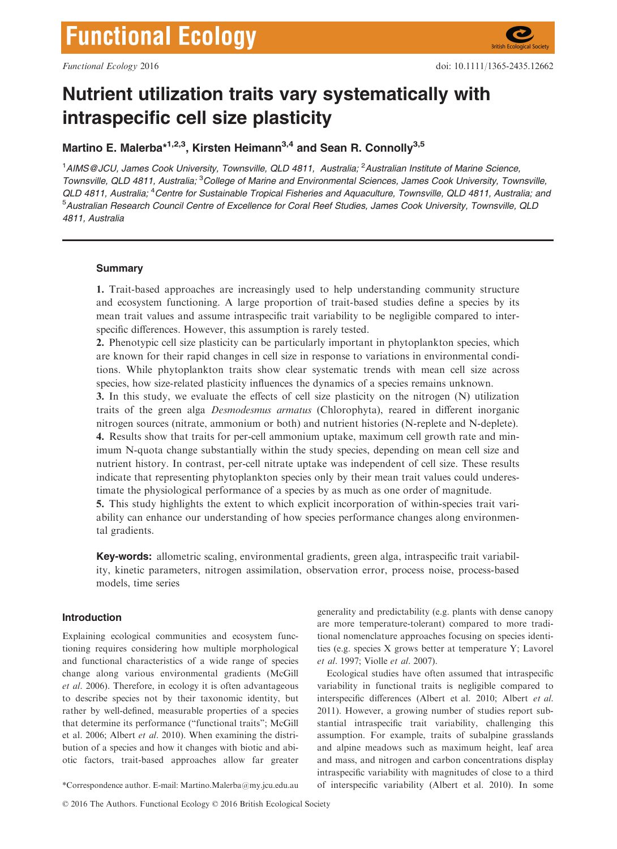# Nutrient utilization traits vary systematically with intraspecific cell size plasticity

# Martino E. Malerba $*^{1,2,3}$ , Kirsten Heimann<sup>3,4</sup> and Sean R. Connolly<sup>3,5</sup>

<sup>1</sup>AIMS@JCU, James Cook University, Townsville, QLD 4811, Australia; <sup>2</sup>Australian Institute of Marine Science, Townsville, QLD 4811, Australia; <sup>3</sup>College of Marine and Environmental Sciences, James Cook University, Townsville, QLD 4811, Australia; <sup>4</sup>Centre for Sustainable Tropical Fisheries and Aquaculture, Townsville, QLD 4811, Australia; and <sup>5</sup>Australian Research Council Centre of Excellence for Coral Reef Studies, James Cook University, Townsville, QLD 4811, Australia

# **Summary**

1. Trait-based approaches are increasingly used to help understanding community structure and ecosystem functioning. A large proportion of trait-based studies define a species by its mean trait values and assume intraspecific trait variability to be negligible compared to interspecific differences. However, this assumption is rarely tested.

2. Phenotypic cell size plasticity can be particularly important in phytoplankton species, which are known for their rapid changes in cell size in response to variations in environmental conditions. While phytoplankton traits show clear systematic trends with mean cell size across species, how size-related plasticity influences the dynamics of a species remains unknown.

3. In this study, we evaluate the effects of cell size plasticity on the nitrogen (N) utilization traits of the green alga Desmodesmus armatus (Chlorophyta), reared in different inorganic nitrogen sources (nitrate, ammonium or both) and nutrient histories (N-replete and N-deplete). 4. Results show that traits for per-cell ammonium uptake, maximum cell growth rate and minimum N-quota change substantially within the study species, depending on mean cell size and nutrient history. In contrast, per-cell nitrate uptake was independent of cell size. These results indicate that representing phytoplankton species only by their mean trait values could underestimate the physiological performance of a species by as much as one order of magnitude.

5. This study highlights the extent to which explicit incorporation of within-species trait variability can enhance our understanding of how species performance changes along environmental gradients.

Key-words: allometric scaling, environmental gradients, green alga, intraspecific trait variability, kinetic parameters, nitrogen assimilation, observation error, process noise, process-based models, time series

# Introduction

Explaining ecological communities and ecosystem functioning requires considering how multiple morphological and functional characteristics of a wide range of species change along various environmental gradients (McGill et al. 2006). Therefore, in ecology it is often advantageous to describe species not by their taxonomic identity, but rather by well-defined, measurable properties of a species that determine its performance ("functional traits"; McGill et al. 2006; Albert et al. 2010). When examining the distribution of a species and how it changes with biotic and abiotic factors, trait-based approaches allow far greater

© 2016 The Authors. Functional Ecology © 2016 British Ecological Society

generality and predictability (e.g. plants with dense canopy are more temperature-tolerant) compared to more traditional nomenclature approaches focusing on species identities (e.g. species X grows better at temperature Y; Lavorel et al. 1997; Violle et al. 2007).

Ecological studies have often assumed that intraspecific variability in functional traits is negligible compared to interspecific differences (Albert et al. 2010; Albert et al. 2011). However, a growing number of studies report substantial intraspecific trait variability, challenging this assumption. For example, traits of subalpine grasslands and alpine meadows such as maximum height, leaf area and mass, and nitrogen and carbon concentrations display intraspecific variability with magnitudes of close to a third \*Correspondence author. E-mail: Martino.Malerba@my.jcu.edu.au of interspecific variability (Albert et al. 2010). In some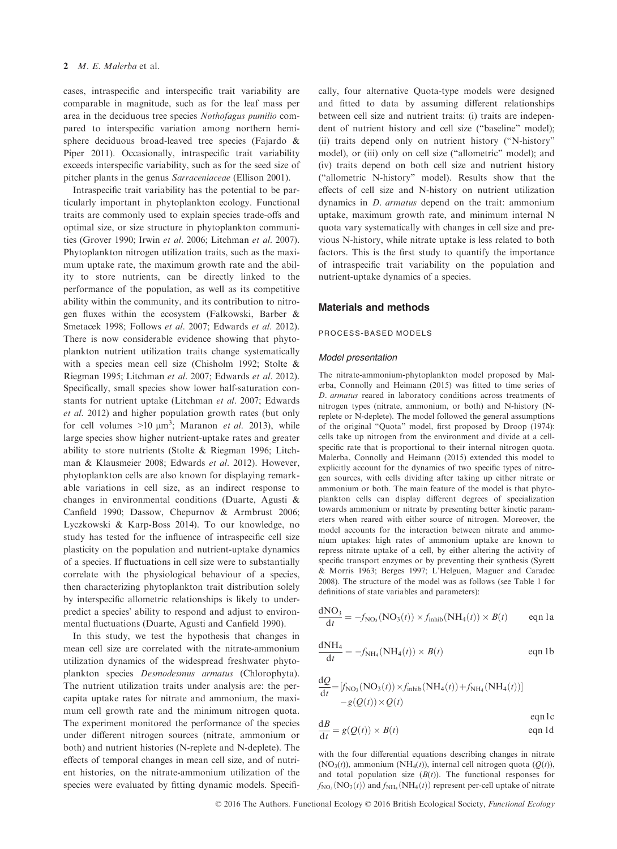cases, intraspecific and interspecific trait variability are comparable in magnitude, such as for the leaf mass per area in the deciduous tree species Nothofagus pumilio compared to interspecific variation among northern hemisphere deciduous broad-leaved tree species (Fajardo & Piper 2011). Occasionally, intraspecific trait variability exceeds interspecific variability, such as for the seed size of pitcher plants in the genus Sarraceniaceae (Ellison 2001).

Intraspecific trait variability has the potential to be particularly important in phytoplankton ecology. Functional traits are commonly used to explain species trade-offs and optimal size, or size structure in phytoplankton communities (Grover 1990; Irwin et al. 2006; Litchman et al. 2007). Phytoplankton nitrogen utilization traits, such as the maximum uptake rate, the maximum growth rate and the ability to store nutrients, can be directly linked to the performance of the population, as well as its competitive ability within the community, and its contribution to nitrogen fluxes within the ecosystem (Falkowski, Barber & Smetacek 1998; Follows et al. 2007; Edwards et al. 2012). There is now considerable evidence showing that phytoplankton nutrient utilization traits change systematically with a species mean cell size (Chisholm 1992; Stolte & Riegman 1995; Litchman et al. 2007; Edwards et al. 2012). Specifically, small species show lower half-saturation constants for nutrient uptake (Litchman et al. 2007; Edwards et al. 2012) and higher population growth rates (but only for cell volumes  $>10 \mu m^3$ ; Maranon *et al.* 2013), while large species show higher nutrient-uptake rates and greater ability to store nutrients (Stolte & Riegman 1996; Litchman & Klausmeier 2008; Edwards et al. 2012). However, phytoplankton cells are also known for displaying remarkable variations in cell size, as an indirect response to changes in environmental conditions (Duarte, Agusti & Canfield 1990; Dassow, Chepurnov & Armbrust 2006; Lyczkowski & Karp-Boss 2014). To our knowledge, no study has tested for the influence of intraspecific cell size plasticity on the population and nutrient-uptake dynamics of a species. If fluctuations in cell size were to substantially correlate with the physiological behaviour of a species, then characterizing phytoplankton trait distribution solely by interspecific allometric relationships is likely to underpredict a species' ability to respond and adjust to environmental fluctuations (Duarte, Agusti and Canfield 1990).

In this study, we test the hypothesis that changes in mean cell size are correlated with the nitrate-ammonium utilization dynamics of the widespread freshwater phytoplankton species Desmodesmus armatus (Chlorophyta). The nutrient utilization traits under analysis are: the percapita uptake rates for nitrate and ammonium, the maximum cell growth rate and the minimum nitrogen quota. The experiment monitored the performance of the species under different nitrogen sources (nitrate, ammonium or both) and nutrient histories (N-replete and N-deplete). The effects of temporal changes in mean cell size, and of nutrient histories, on the nitrate-ammonium utilization of the species were evaluated by fitting dynamic models. Specifically, four alternative Quota-type models were designed and fitted to data by assuming different relationships between cell size and nutrient traits: (i) traits are independent of nutrient history and cell size ("baseline" model); (ii) traits depend only on nutrient history ("N-history" model), or (iii) only on cell size ("allometric" model); and (iv) traits depend on both cell size and nutrient history ("allometric N-history" model). Results show that the effects of cell size and N-history on nutrient utilization dynamics in D. armatus depend on the trait: ammonium uptake, maximum growth rate, and minimum internal N quota vary systematically with changes in cell size and previous N-history, while nitrate uptake is less related to both factors. This is the first study to quantify the importance of intraspecific trait variability on the population and nutrient-uptake dynamics of a species.

## Materials and methods

#### PROCESS-BASED MODELS

#### Model presentation

The nitrate-ammonium-phytoplankton model proposed by Malerba, Connolly and Heimann (2015) was fitted to time series of D. armatus reared in laboratory conditions across treatments of nitrogen types (nitrate, ammonium, or both) and N-history (Nreplete or N-deplete). The model followed the general assumptions of the original "Quota" model, first proposed by Droop (1974): cells take up nitrogen from the environment and divide at a cellspecific rate that is proportional to their internal nitrogen quota. Malerba, Connolly and Heimann (2015) extended this model to explicitly account for the dynamics of two specific types of nitrogen sources, with cells dividing after taking up either nitrate or ammonium or both. The main feature of the model is that phytoplankton cells can display different degrees of specialization towards ammonium or nitrate by presenting better kinetic parameters when reared with either source of nitrogen. Moreover, the model accounts for the interaction between nitrate and ammonium uptakes: high rates of ammonium uptake are known to repress nitrate uptake of a cell, by either altering the activity of specific transport enzymes or by preventing their synthesis (Syrett & Morris 1963; Berges 1997; L'Helguen, Maguer and Caradec 2008). The structure of the model was as follows (see Table 1 for definitions of state variables and parameters):

$$
\frac{dNO_3}{dt} = -f_{NO_3}(NO_3(t)) \times f_{inhib}(NH_4(t)) \times B(t) \qquad \text{eqn 1a}
$$

$$
\frac{dNH_4}{dt} = -f_{NH_4}(NH_4(t)) \times B(t)
$$
eqn 1b

$$
\frac{dQ}{dt} = [f_{NO_3}(NO_3(t)) \times f_{inhib}(NH_4(t)) + f_{NH_4}(NH_4(t))]
$$
  
-g(Q(t)) \times Q(t)

 $dB$  (*Q(c)*)  $P(x)$  and  $Q(x)$  $\frac{dE}{dt} = g(Q(t)) \times B(t)$  eqn 1d

with the four differential equations describing changes in nitrate  $(NO<sub>3</sub>(t))$ , ammonium  $(NH<sub>4</sub>(t))$ , internal cell nitrogen quota  $(O(t))$ , and total population size  $(B(t))$ . The functional responses for  $f_{NO_3}(NO_3(t))$  and  $f_{NH_4}(NH_4(t))$  represent per-cell uptake of nitrate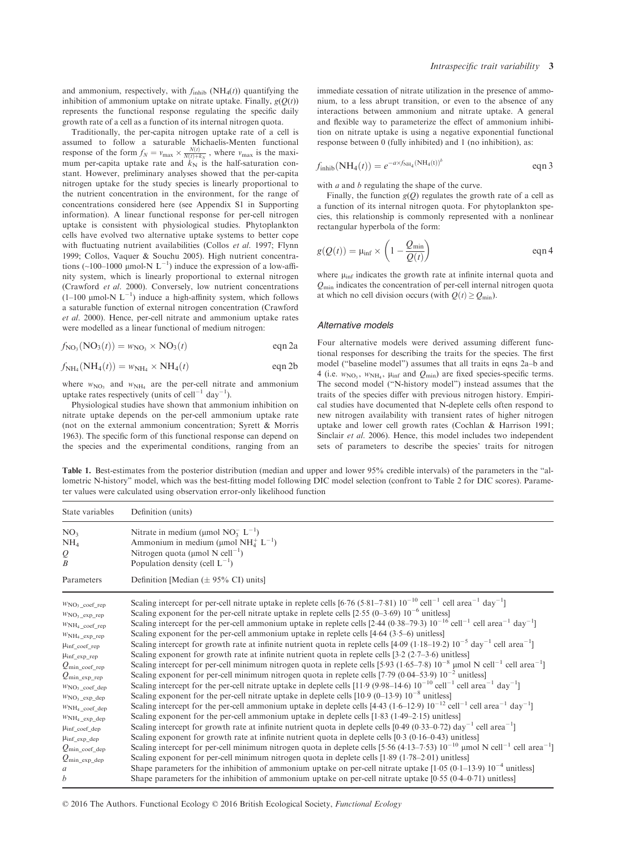and ammonium, respectively, with  $f_{\text{inhib}}$  (NH<sub>4</sub>(t)) quantifying the inhibition of ammonium uptake on nitrate uptake. Finally,  $g(Q(t))$ represents the functional response regulating the specific daily growth rate of a cell as a function of its internal nitrogen quota.

Traditionally, the per-capita nitrogen uptake rate of a cell is assumed to follow a saturable Michaelis-Menten functional response of the form  $f_N = v_{\text{max}} \times \frac{N(t)}{N(t)+k_N}$ , where  $v_{\text{max}}$  is the maxi-<br>mum per-capita uptake rate and  $k_N$  is the half-saturation constant. However, preliminary analyses showed that the per-capita nitrogen uptake for the study species is linearly proportional to the nutrient concentration in the environment, for the range of concentrations considered here (see Appendix S1 in Supporting information). A linear functional response for per-cell nitrogen uptake is consistent with physiological studies. Phytoplankton cells have evolved two alternative uptake systems to better cope with fluctuating nutrient availabilities (Collos et al. 1997; Flynn 1999; Collos, Vaquer & Souchu 2005). High nutrient concentrations (~100–1000 µmol-N  $L^{-1}$ ) induce the expression of a low-affinity system, which is linearly proportional to external nitrogen (Crawford et al. 2000). Conversely, low nutrient concentrations  $(1-100 \text{ }\mu\text{mol-N L}^{-1})$  induce a high-affinity system, which follows a saturable function of external nitrogen concentration (Crawford et al. 2000). Hence, per-cell nitrate and ammonium uptake rates were modelled as a linear functional of medium nitrogen:

$$
f_{\text{NO}_3}(\text{NO}_3(t)) = w_{\text{NO}_3} \times \text{NO}_3(t) \qquad \text{eqn 2a}
$$

$$
f_{\rm NH_4}(\rm NH_4(t)) = w_{\rm NH_4} \times \rm NH_4(t) \qquad \qquad \text{eqn 2b}
$$

where  $w_{\text{NO}_3}$  and  $w_{\text{NH}_4}$  are the per-cell nitrate and ammonium uptake rates respectively (units of cell<sup>-1</sup> day<sup>-1</sup>).

Physiological studies have shown that ammonium inhibition on nitrate uptake depends on the per-cell ammonium uptake rate (not on the external ammonium concentration; Syrett & Morris 1963). The specific form of this functional response can depend on the species and the experimental conditions, ranging from an immediate cessation of nitrate utilization in the presence of ammonium, to a less abrupt transition, or even to the absence of any interactions between ammonium and nitrate uptake. A general and flexible way to parameterize the effect of ammonium inhibition on nitrate uptake is using a negative exponential functional response between 0 (fully inhibited) and 1 (no inhibition), as:

$$
f_{\text{inhib}}(\text{NH}_4(t)) = e^{-a \times f_{\text{NH}_4}(\text{NH}_4(t))^{b}} \qquad \text{eqn 3}
$$

with  $a$  and  $b$  regulating the shape of the curve.

Finally, the function  $g(Q)$  regulates the growth rate of a cell as a function of its internal nitrogen quota. For phytoplankton species, this relationship is commonly represented with a nonlinear rectangular hyperbola of the form:

$$
g(Q(t)) = \mu_{\text{inf}} \times \left(1 - \frac{Q_{\text{min}}}{Q(t)}\right) \qquad \text{eqn 4}
$$

where  $\mu_{\text{inf}}$  indicates the growth rate at infinite internal quota and  $Q<sub>min</sub>$  indicates the concentration of per-cell internal nitrogen quota at which no cell division occurs (with  $Q(t) \ge Q_{\text{min}}$ ).

#### Alternative models

Four alternative models were derived assuming different functional responses for describing the traits for the species. The first model ("baseline model") assumes that all traits in eqns 2a–b and 4 (i.e.  $w_{NO_3}$ ,  $w_{NH_4}$ ,  $\mu_{inf}$  and  $Q_{min}$ ) are fixed species-specific terms. The second model ("N-history model") instead assumes that the traits of the species differ with previous nitrogen history. Empirical studies have documented that N-deplete cells often respond to new nitrogen availability with transient rates of higher nitrogen uptake and lower cell growth rates (Cochlan & Harrison 1991; Sinclair et al. 2006). Hence, this model includes two independent sets of parameters to describe the species' traits for nitrogen

Table 1. Best-estimates from the posterior distribution (median and upper and lower 95% credible intervals) of the parameters in the "allometric N-history" model, which was the best-fitting model following DIC model selection (confront to Table 2 for DIC scores). Parameter values were calculated using observation error-only likelihood function

| State variables              | Definition (units)                                                                                                                                              |
|------------------------------|-----------------------------------------------------------------------------------------------------------------------------------------------------------------|
| NO <sub>3</sub>              | Nitrate in medium (µmol NO <sub>3</sub> <sup>-L<sup>-1</sup>)</sup>                                                                                             |
| NH <sub>4</sub>              | Ammonium in medium (µmol NH $_4^+$ L <sup>-1</sup> )                                                                                                            |
| $\varrho$                    | Nitrogen quota (µmol N cell <sup>-1</sup> )                                                                                                                     |
| $\boldsymbol{B}$             | Population density (cell $L^{-1}$ )                                                                                                                             |
| Parameters                   | Definition [Median $(\pm 95\% \text{ CI})$ units]                                                                                                               |
| $WNO_3$ coef rep             | Scaling intercept for per-cell nitrate uptake in replete cells [6.76 (5.81–7.81) $10^{-10}$ cell <sup>-1</sup> cell area <sup>-1</sup> day <sup>-1</sup> ]      |
| $WNO3$ exp rep               | Scaling exponent for the per-cell nitrate uptake in replete cells $[2.55 (0-3.69) 10^{-6}$ unitless                                                             |
| $WNH_4$ coef rep             | Scaling intercept for the per-cell ammonium uptake in replete cells [2.44 (0.38–79.3) $10^{-16}$ cell <sup>-1</sup> cell area <sup>-1</sup> day <sup>-1</sup> ] |
| $WNH_4$ exp rep              | Scaling exponent for the per-cell ammonium uptake in replete cells $[4.64 (3.5–6)$ unitless                                                                     |
| $\mu_{\text{inf}}$ coef rep  | Scaling intercept for growth rate at infinite nutrient quota in replete cells [4.09 (1.18–19.2) 10 <sup>-5</sup> day <sup>-1</sup> cell area <sup>-1</sup> ]    |
| $\mu$ inf exp rep            | Scaling exponent for growth rate at infinite nutrient quota in replete cells [3.2 (2.7–3.6) unitless]                                                           |
| $Q_{\text{min\_coeff\_rep}}$ | Scaling intercept for per-cell minimum nitrogen quota in replete cells [5.93 (1.65–7.8) $10^{-8}$ µmol N cell <sup>-1</sup> cell area <sup>-1</sup> ]           |
| $Q_{\text{min}}$ exp rep     | Scaling exponent for per-cell minimum nitrogen quota in replete cells [7.79 (0.04–53.9) $10^{-2}$ unitless]                                                     |
| $WNO3$ coef dep              | Scaling intercept for the per-cell nitrate uptake in deplete cells [11.9 (9.98–14.6) $10^{-10}$ cell <sup>-1</sup> cell area <sup>-1</sup> day <sup>-1</sup> ]  |
| $WNO3$ _exp_dep              | Scaling exponent for the per-cell nitrate uptake in deplete cells $[10.9 (0-13.9) 10^{-8}$ unitless]                                                            |
| $WNH_4$ coef dep             | Scaling intercept for the per-cell ammonium uptake in deplete cells [4.43 (1.6–12.9) $10^{-12}$ cell <sup>-1</sup> cell area <sup>-1</sup> day <sup>-1</sup> ]  |
| $WNH_4$ exp dep              | Scaling exponent for the per-cell ammonium uptake in deplete cells [1.83 (1.49–2.15) unitless]                                                                  |
| $\mu$ inf coef dep           | Scaling intercept for growth rate at infinite nutrient quota in deplete cells [0.49 (0.33–0.72) day <sup>-1</sup> cell area <sup>-1</sup> ]                     |
| $\mu_{\text{inf}}$ exp dep   | Scaling exponent for growth rate at infinite nutrient quota in deplete cells $[0.3 (0.16-0.43)$ unitless                                                        |
| $Q_{\text{min\_coeff\_dep}}$ | Scaling intercept for per-cell minimum nitrogen quota in deplete cells [5.56 (4.13–7.53) $10^{-10}$ µmol N cell <sup>-1</sup> cell area <sup>-1</sup> ]         |
| $Q_{\text{min\_exp\_dep}}$   | Scaling exponent for per-cell minimum nitrogen quota in deplete cells $[1.89 (1.78-2.01)$ unitless]                                                             |
| a                            | Shape parameters for the inhibition of ammonium uptake on per-cell nitrate uptake $[1.05 (0.1-13.9) 10^{-4}$ unitless                                           |
| b                            | Shape parameters for the inhibition of ammonium uptake on per-cell nitrate uptake $[0.55 (0.4-0.71)$ unitless]                                                  |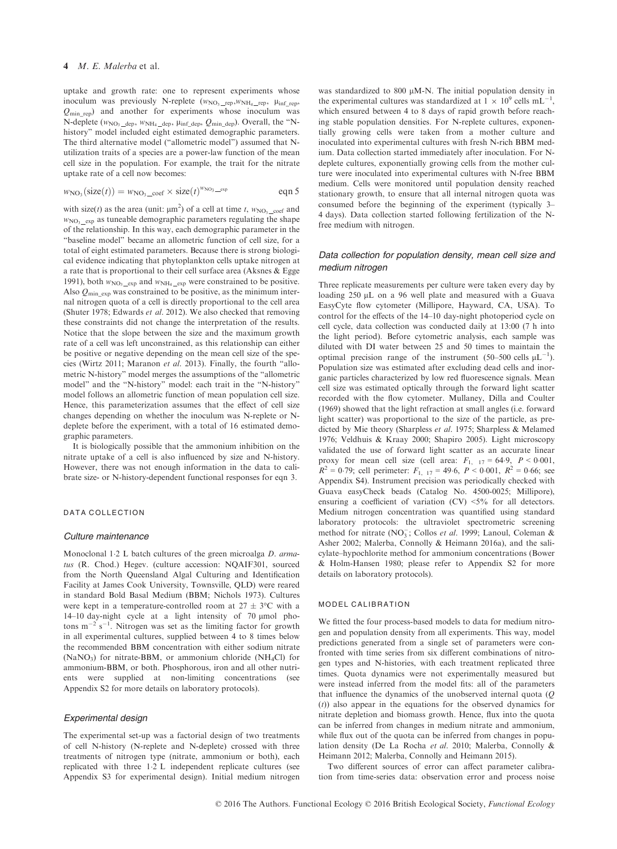# 4 M. E. Malerba et al.

uptake and growth rate: one to represent experiments whose inoculum was previously N-replete  $(w_{NO_3 \text{ rep}}, w_{NH_4 \text{ rep}}, \mu_{\text{inf}}_{\text{rep}},$  $Q_{\text{min rep}}$  and another for experiments whose inoculum was N-deplete ( $w_{NO_3 \_\text{dep}}$ ,  $w_{NH_4 \_\text{dep}}$ ,  $\mu_{inf \_\text{dep}}$ ,  $Q_{min \_\text{dep}}$ ). Overall, the "Nhistory" model included eight estimated demographic parameters. The third alternative model ("allometric model") assumed that Nutilization traits of a species are a power-law function of the mean cell size in the population. For example, the trait for the nitrate uptake rate of a cell now becomes:

$$
w_{\text{NO}_3}(\text{size}(t)) = w_{\text{NO}_3 \_\text{coeff}} \times \text{size}(t)^{w_{\text{NO}_3 \_\text{exp}}}
$$
eqn 5

with size(*t*) as the area (unit:  $\mu$ m<sup>2</sup>) of a cell at time *t*,  $w_{NO_3 \text{ } \text{ } \text{ } \text{ } \text{ } \text{ } \text{ } \text{ } \text{ } \mu}$  and  $w_{NO_3}$  exp as tuneable demographic parameters regulating the shape of the relationship. In this way, each demographic parameter in the "baseline model" became an allometric function of cell size, for a total of eight estimated parameters. Because there is strong biological evidence indicating that phytoplankton cells uptake nitrogen at a rate that is proportional to their cell surface area (Aksnes & Egge 1991), both  $w_{NO_3}$  exp and  $w_{NH_4}$  exp were constrained to be positive. Also  $Q_{\text{min\_exp}}$  was constrained to be positive, as the minimum internal nitrogen quota of a cell is directly proportional to the cell area (Shuter 1978; Edwards et al. 2012). We also checked that removing these constraints did not change the interpretation of the results. Notice that the slope between the size and the maximum growth rate of a cell was left unconstrained, as this relationship can either be positive or negative depending on the mean cell size of the species (Wirtz 2011; Maranon et al. 2013). Finally, the fourth "allometric N-history" model merges the assumptions of the "allometric model" and the "N-history" model: each trait in the "N-history" model follows an allometric function of mean population cell size. Hence, this parameterization assumes that the effect of cell size changes depending on whether the inoculum was N-replete or Ndeplete before the experiment, with a total of 16 estimated demographic parameters.

It is biologically possible that the ammonium inhibition on the nitrate uptake of a cell is also influenced by size and N-history. However, there was not enough information in the data to calibrate size- or N-history-dependent functional responses for eqn 3.

# DATA COLLECTION

#### Culture maintenance

Monoclonal 1.2 L batch cultures of the green microalga D. armatus (R. Chod.) Hegev. (culture accession: NQAIF301, sourced from the North Queensland Algal Culturing and Identification Facility at James Cook University, Townsville, QLD) were reared in standard Bold Basal Medium (BBM; Nichols 1973). Cultures were kept in a temperature-controlled room at  $27 \pm 3$ °C with a 14–10 day-night cycle at a light intensity of 70 µmol photons  $m^{-2}$  s<sup>-1</sup>. Nitrogen was set as the limiting factor for growth in all experimental cultures, supplied between 4 to 8 times below the recommended BBM concentration with either sodium nitrate  $(NaNO<sub>3</sub>)$  for nitrate-BBM, or ammonium chloride  $(NH<sub>4</sub>Cl)$  for ammonium-BBM, or both. Phosphorous, iron and all other nutrients were supplied at non-limiting concentrations (see Appendix S2 for more details on laboratory protocols).

# Experimental design

The experimental set-up was a factorial design of two treatments of cell N-history (N-replete and N-deplete) crossed with three treatments of nitrogen type (nitrate, ammonium or both), each replicated with three 12 L independent replicate cultures (see Appendix S3 for experimental design). Initial medium nitrogen

was standardized to  $800 \mu M-N$ . The initial population density in the experimental cultures was standardized at  $1 \times 10^9$  cells mL<sup>-1</sup>, which ensured between 4 to 8 days of rapid growth before reaching stable population densities. For N-replete cultures, exponentially growing cells were taken from a mother culture and inoculated into experimental cultures with fresh N-rich BBM medium. Data collection started immediately after inoculation. For Ndeplete cultures, exponentially growing cells from the mother culture were inoculated into experimental cultures with N-free BBM medium. Cells were monitored until population density reached stationary growth, to ensure that all internal nitrogen quota was consumed before the beginning of the experiment (typically 3– 4 days). Data collection started following fertilization of the Nfree medium with nitrogen.

## Data collection for population density, mean cell size and medium nitrogen

Three replicate measurements per culture were taken every day by loading 250 µL on a 96 well plate and measured with a Guava EasyCyte flow cytometer (Millipore, Hayward, CA, USA). To control for the effects of the 14–10 day-night photoperiod cycle on cell cycle, data collection was conducted daily at 13:00 (7 h into the light period). Before cytometric analysis, each sample was diluted with DI water between 25 and 50 times to maintain the optimal precision range of the instrument (50–500 cells  $\mu L^{-1}$ ). Population size was estimated after excluding dead cells and inorganic particles characterized by low red fluorescence signals. Mean cell size was estimated optically through the forward light scatter recorded with the flow cytometer. Mullaney, Dilla and Coulter (1969) showed that the light refraction at small angles (i.e. forward light scatter) was proportional to the size of the particle, as predicted by Mie theory (Sharpless et al. 1975; Sharpless & Melamed 1976; Veldhuis & Kraay 2000; Shapiro 2005). Light microscopy validated the use of forward light scatter as an accurate linear proxy for mean cell size (cell area:  $F_{1, 17} = 64.9, P < 0.001$ ,  $R^{2} = 0.79$ ; cell perimeter:  $F_{1, 17} = 49.6$ ,  $P < 0.001$ ,  $R^{2} = 0.66$ ; see Appendix S4). Instrument precision was periodically checked with Guava easyCheck beads (Catalog No. 4500-0025; Millipore), ensuring a coefficient of variation  $(CV)$  <5% for all detectors. Medium nitrogen concentration was quantified using standard laboratory protocols: the ultraviolet spectrometric screening method for nitrate ( $NO_3^-$ ; Collos *et al.* 1999; Lanoul, Coleman & Asher 2002; Malerba, Connolly & Heimann 2016a), and the salicylate–hypochlorite method for ammonium concentrations (Bower & Holm-Hansen 1980; please refer to Appendix S2 for more details on laboratory protocols).

#### MODEL CALIBRATION

We fitted the four process-based models to data for medium nitrogen and population density from all experiments. This way, model predictions generated from a single set of parameters were confronted with time series from six different combinations of nitrogen types and N-histories, with each treatment replicated three times. Quota dynamics were not experimentally measured but were instead inferred from the model fits: all of the parameters that influence the dynamics of the unobserved internal quota  $(Q)$ (t)) also appear in the equations for the observed dynamics for nitrate depletion and biomass growth. Hence, flux into the quota can be inferred from changes in medium nitrate and ammonium, while flux out of the quota can be inferred from changes in population density (De La Rocha et al. 2010; Malerba, Connolly & Heimann 2012; Malerba, Connolly and Heimann 2015).

Two different sources of error can affect parameter calibration from time-series data: observation error and process noise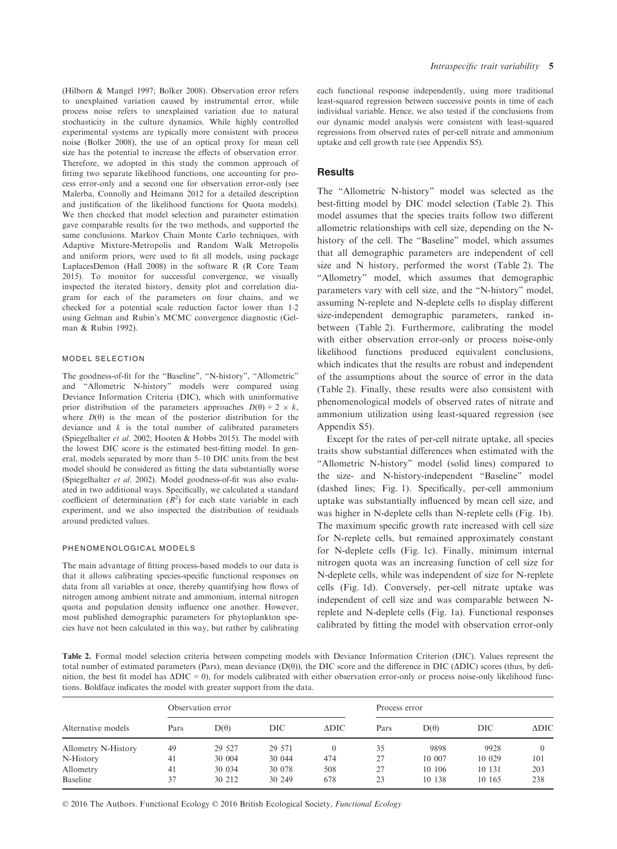(Hilborn & Mangel 1997; Bolker 2008). Observation error refers to unexplained variation caused by instrumental error, while process noise refers to unexplained variation due to natural stochasticity in the culture dynamics. While highly controlled experimental systems are typically more consistent with process noise (Bolker 2008), the use of an optical proxy for mean cell size has the potential to increase the effects of observation error. Therefore, we adopted in this study the common approach of fitting two separate likelihood functions, one accounting for process error-only and a second one for observation error-only (see Malerba, Connolly and Heimann 2012 for a detailed description and justification of the likelihood functions for Quota models). We then checked that model selection and parameter estimation gave comparable results for the two methods, and supported the same conclusions. Markov Chain Monte Carlo techniques, with Adaptive Mixture-Metropolis and Random Walk Metropolis and uniform priors, were used to fit all models, using package LaplacesDemon (Hall 2008) in the software R (R Core Team 2015). To monitor for successful convergence, we visually inspected the iterated history, density plot and correlation diagram for each of the parameters on four chains, and we checked for a potential scale reduction factor lower than 1.2 using Gelman and Rubin's MCMC convergence diagnostic (Gelman & Rubin 1992).

#### MODEL SELECTION

The goodness-of-fit for the "Baseline", "N-history", "Allometric" and "Allometric N-history" models were compared using Deviance Information Criteria (DIC), which with uninformative prior distribution of the parameters approaches  $D(\theta) + 2 \times k$ , where  $D(\theta)$  is the mean of the posterior distribution for the deviance and  $k$  is the total number of calibrated parameters (Spiegelhalter et al. 2002; Hooten & Hobbs 2015). The model with the lowest DIC score is the estimated best-fitting model. In general, models separated by more than 5–10 DIC units from the best model should be considered as fitting the data substantially worse (Spiegelhalter et al. 2002). Model goodness-of-fit was also evaluated in two additional ways. Specifically, we calculated a standard coefficient of determination  $(R^2)$  for each state variable in each experiment, and we also inspected the distribution of residuals around predicted values.

#### PHENOMENOLOGICAL MODELS

The main advantage of fitting process-based models to our data is that it allows calibrating species-specific functional responses on data from all variables at once, thereby quantifying how flows of nitrogen among ambient nitrate and ammonium, internal nitrogen quota and population density influence one another. However, most published demographic parameters for phytoplankton species have not been calculated in this way, but rather by calibrating

each functional response independently, using more traditional least-squared regression between successive points in time of each individual variable. Hence, we also tested if the conclusions from our dynamic model analysis were consistent with least-squared regressions from observed rates of per-cell nitrate and ammonium uptake and cell growth rate (see Appendix S5).

# **Results**

The "Allometric N-history" model was selected as the best-fitting model by DIC model selection (Table 2). This model assumes that the species traits follow two different allometric relationships with cell size, depending on the Nhistory of the cell. The "Baseline" model, which assumes that all demographic parameters are independent of cell size and N history, performed the worst (Table 2). The "Allometry" model, which assumes that demographic parameters vary with cell size, and the "N-history" model, assuming N-replete and N-deplete cells to display different size-independent demographic parameters, ranked inbetween (Table 2). Furthermore, calibrating the model with either observation error-only or process noise-only likelihood functions produced equivalent conclusions, which indicates that the results are robust and independent of the assumptions about the source of error in the data (Table 2). Finally, these results were also consistent with phenomenological models of observed rates of nitrate and ammonium utilization using least-squared regression (see Appendix S5).

Except for the rates of per-cell nitrate uptake, all species traits show substantial differences when estimated with the "Allometric N-history" model (solid lines) compared to the size- and N-history-independent "Baseline" model (dashed lines; Fig. 1). Specifically, per-cell ammonium uptake was substantially influenced by mean cell size, and was higher in N-deplete cells than N-replete cells (Fig. 1b). The maximum specific growth rate increased with cell size for N-replete cells, but remained approximately constant for N-deplete cells (Fig. 1c). Finally, minimum internal nitrogen quota was an increasing function of cell size for N-deplete cells, while was independent of size for N-replete cells (Fig. 1d). Conversely, per-cell nitrate uptake was independent of cell size and was comparable between Nreplete and N-deplete cells (Fig. 1a). Functional responses calibrated by fitting the model with observation error-only

Table 2. Formal model selection criteria between competing models with Deviance Information Criterion (DIC). Values represent the total number of estimated parameters (Pars), mean deviance (D( $\theta$ )), the DIC score and the difference in DIC ( $\Delta$ DIC) scores (thus, by definition, the best fit model has  $\Delta DIC = 0$ , for models calibrated with either observation error-only or process noise-only likelihood functions. Boldface indicates the model with greater support from the data.

|                     | Observation error |             |        |                 | Process error |             |        |                 |
|---------------------|-------------------|-------------|--------|-----------------|---------------|-------------|--------|-----------------|
| Alternative models  | Pars              | $D(\theta)$ | DIC    | $\triangle DIC$ | Pars          | $D(\theta)$ | DIC    | $\triangle DIC$ |
| Allometry N-History | 49                | 29 527      | 29 571 |                 | 35            | 9898        | 9928   |                 |
| N-History           | 41                | 30 004      | 30 044 | 474             | 27            | 10 007      | 10 029 | 101             |
| Allometry           | 41                | 30 0 34     | 30 078 | 508             | 27            | 10 10 6     | 10 131 | 203             |
| Baseline            | 37                | 30 212      | 30 249 | 678             | 23            | 10 138      | 10 165 | 238             |

© 2016 The Authors. Functional Ecology © 2016 British Ecological Society, Functional Ecology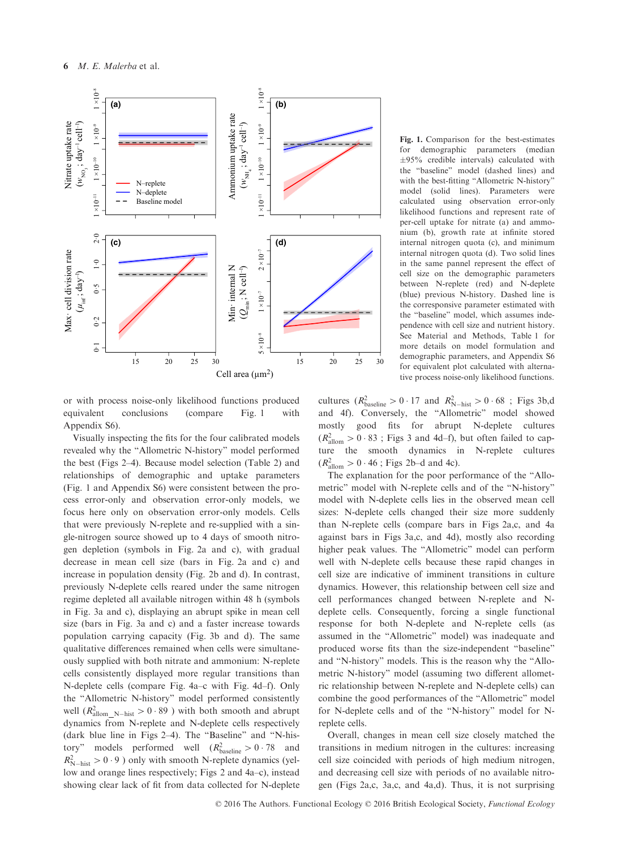

or with process noise-only likelihood functions produced equivalent conclusions (compare Fig. 1 with Appendix S6).

Visually inspecting the fits for the four calibrated models revealed why the "Allometric N-history" model performed the best (Figs 2–4). Because model selection (Table 2) and relationships of demographic and uptake parameters (Fig. 1 and Appendix S6) were consistent between the process error-only and observation error-only models, we focus here only on observation error-only models. Cells that were previously N-replete and re-supplied with a single-nitrogen source showed up to 4 days of smooth nitrogen depletion (symbols in Fig. 2a and c), with gradual decrease in mean cell size (bars in Fig. 2a and c) and increase in population density (Fig. 2b and d). In contrast, previously N-deplete cells reared under the same nitrogen regime depleted all available nitrogen within 48 h (symbols in Fig. 3a and c), displaying an abrupt spike in mean cell size (bars in Fig. 3a and c) and a faster increase towards population carrying capacity (Fig. 3b and d). The same qualitative differences remained when cells were simultaneously supplied with both nitrate and ammonium: N-replete cells consistently displayed more regular transitions than N-deplete cells (compare Fig. 4a–c with Fig. 4d–f). Only the "Allometric N-history" model performed consistently well  $(R_{\text{allow\_N-hist}}^2 > 0.89$  ) with both smooth and abrupt dynamics from N-replete and N-deplete cells respectively (dark blue line in Figs 2–4). The "Baseline" and "N-history" models performed well  $(R_{\text{baseline}}^2 > 0.78$  and  $R_{\text{N-hist}}^2 > 0.9$ ) only with smooth N-replete dynamics (yellow and orange lines respectively; Figs 2 and 4a–c), instead showing clear lack of fit from data collected for N-deplete Fig. 1. Comparison for the best-estimates for demographic parameters (median  $\pm 95\%$  credible intervals) calculated with the "baseline" model (dashed lines) and with the best-fitting "Allometric N-history" model (solid lines). Parameters were calculated using observation error-only likelihood functions and represent rate of per-cell uptake for nitrate (a) and ammonium (b), growth rate at infinite stored internal nitrogen quota (c), and minimum internal nitrogen quota (d). Two solid lines in the same pannel represent the effect of cell size on the demographic parameters between N-replete (red) and N-deplete (blue) previous N-history. Dashed line is the corresponsive parameter estimated with the "baseline" model, which assumes independence with cell size and nutrient history. See Material and Methods, Table 1 for more details on model formulation and demographic parameters, and Appendix S6 for equivalent plot calculated with alternative process noise-only likelihood functions.

cultures  $(R_{\text{baseline}}^2 > 0.17 \text{ and } R_{\text{N-hist}}^2 > 0.68 \text{ ; Figs 3b,d}$ and 4f). Conversely, the "Allometric" model showed mostly good fits for abrupt N-deplete cultures  $(R<sub>allow</sub><sup>2</sup> > 0.83$ ; Figs 3 and 4d–f), but often failed to capture the smooth dynamics in N-replete cultures  $(R_{\text{allow}}^2 > 0.46$ ; Figs 2b–d and 4c).

The explanation for the poor performance of the "Allometric" model with N-replete cells and of the "N-history" model with N-deplete cells lies in the observed mean cell sizes: N-deplete cells changed their size more suddenly than N-replete cells (compare bars in Figs 2a,c, and 4a against bars in Figs 3a,c, and 4d), mostly also recording higher peak values. The "Allometric" model can perform well with N-deplete cells because these rapid changes in cell size are indicative of imminent transitions in culture dynamics. However, this relationship between cell size and cell performances changed between N-replete and Ndeplete cells. Consequently, forcing a single functional response for both N-deplete and N-replete cells (as assumed in the "Allometric" model) was inadequate and produced worse fits than the size-independent "baseline" and "N-history" models. This is the reason why the "Allometric N-history" model (assuming two different allometric relationship between N-replete and N-deplete cells) can combine the good performances of the "Allometric" model for N-deplete cells and of the "N-history" model for Nreplete cells.

Overall, changes in mean cell size closely matched the transitions in medium nitrogen in the cultures: increasing cell size coincided with periods of high medium nitrogen, and decreasing cell size with periods of no available nitrogen (Figs 2a,c, 3a,c, and 4a,d). Thus, it is not surprising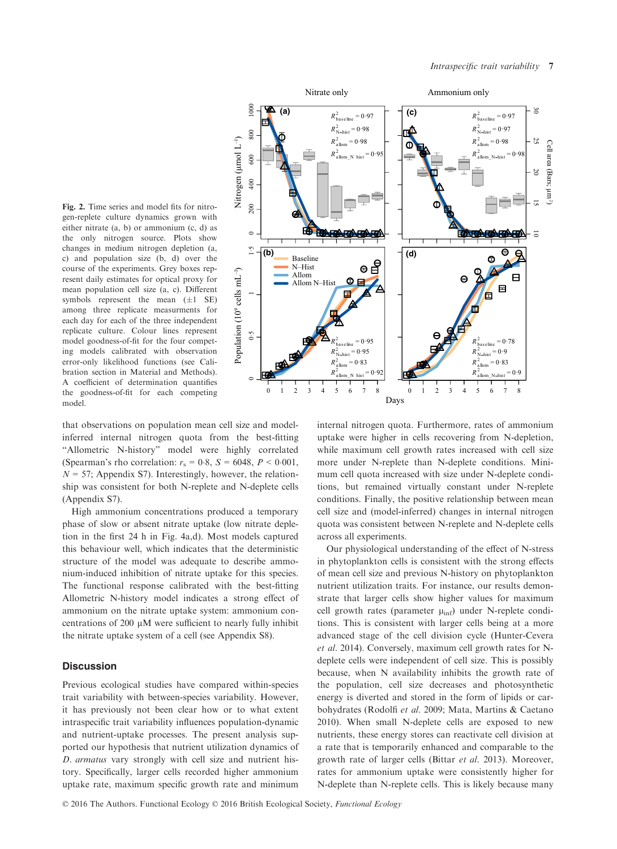

that observations on population mean cell size and modelinferred internal nitrogen quota from the best-fitting "Allometric N-history" model were highly correlated (Spearman's rho correlation:  $r_s = 0.8$ ,  $S = 6048$ ,  $P < 0.001$ ,  $N = 57$ ; Appendix S7). Interestingly, however, the relationship was consistent for both N-replete and N-deplete cells (Appendix S7).

High ammonium concentrations produced a temporary phase of slow or absent nitrate uptake (low nitrate depletion in the first 24 h in Fig. 4a,d). Most models captured this behaviour well, which indicates that the deterministic structure of the model was adequate to describe ammonium-induced inhibition of nitrate uptake for this species. The functional response calibrated with the best-fitting Allometric N-history model indicates a strong effect of ammonium on the nitrate uptake system: ammonium concentrations of 200  $\mu$ M were sufficient to nearly fully inhibit the nitrate uptake system of a cell (see Appendix S8).

# **Discussion**

Previous ecological studies have compared within-species trait variability with between-species variability. However, it has previously not been clear how or to what extent intraspecific trait variability influences population-dynamic and nutrient-uptake processes. The present analysis supported our hypothesis that nutrient utilization dynamics of D. armatus vary strongly with cell size and nutrient history. Specifically, larger cells recorded higher ammonium uptake rate, maximum specific growth rate and minimum



internal nitrogen quota. Furthermore, rates of ammonium uptake were higher in cells recovering from N-depletion, while maximum cell growth rates increased with cell size more under N-replete than N-deplete conditions. Minimum cell quota increased with size under N-deplete conditions, but remained virtually constant under N-replete conditions. Finally, the positive relationship between mean cell size and (model-inferred) changes in internal nitrogen quota was consistent between N-replete and N-deplete cells across all experiments.

Our physiological understanding of the effect of N-stress in phytoplankton cells is consistent with the strong effects of mean cell size and previous N-history on phytoplankton nutrient utilization traits. For instance, our results demonstrate that larger cells show higher values for maximum cell growth rates (parameter  $\mu_{\text{inf}}$ ) under N-replete conditions. This is consistent with larger cells being at a more advanced stage of the cell division cycle (Hunter-Cevera et al. 2014). Conversely, maximum cell growth rates for Ndeplete cells were independent of cell size. This is possibly because, when N availability inhibits the growth rate of the population, cell size decreases and photosynthetic energy is diverted and stored in the form of lipids or carbohydrates (Rodolfi et al. 2009; Mata, Martins & Caetano 2010). When small N-deplete cells are exposed to new nutrients, these energy stores can reactivate cell division at a rate that is temporarily enhanced and comparable to the growth rate of larger cells (Bittar et al. 2013). Moreover, rates for ammonium uptake were consistently higher for N-deplete than N-replete cells. This is likely because many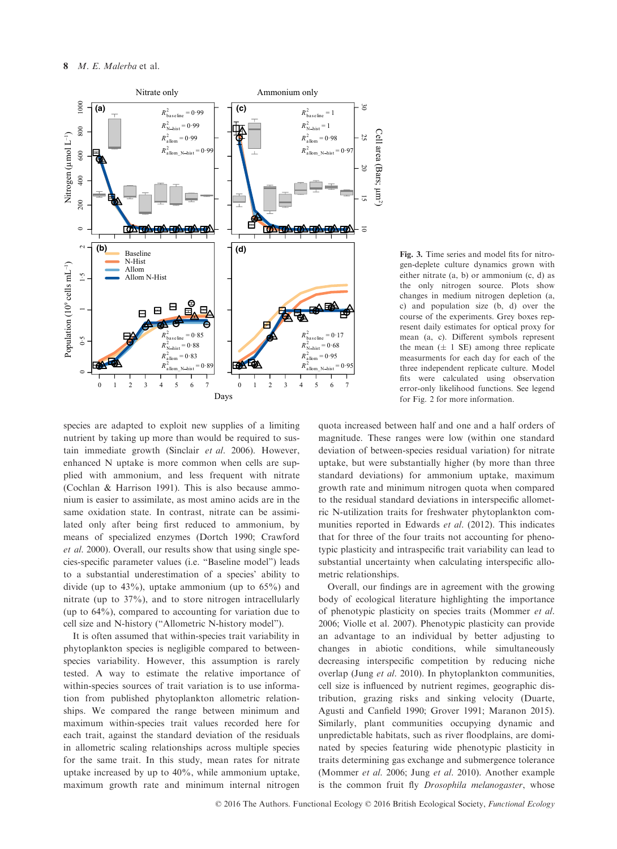

Fig. 3. Time series and model fits for nitrogen-deplete culture dynamics grown with either nitrate (a, b) or ammonium (c, d) as the only nitrogen source. Plots show changes in medium nitrogen depletion (a, c) and population size (b, d) over the course of the experiments. Grey boxes represent daily estimates for optical proxy for mean (a, c). Different symbols represent the mean  $(\pm 1 \text{ SE})$  among three replicate measurments for each day for each of the three independent replicate culture. Model fits were calculated using observation error-only likelihood functions. See legend for Fig. 2 for more information.

species are adapted to exploit new supplies of a limiting nutrient by taking up more than would be required to sustain immediate growth (Sinclair et al. 2006). However, enhanced N uptake is more common when cells are supplied with ammonium, and less frequent with nitrate (Cochlan & Harrison 1991). This is also because ammonium is easier to assimilate, as most amino acids are in the same oxidation state. In contrast, nitrate can be assimilated only after being first reduced to ammonium, by means of specialized enzymes (Dortch 1990; Crawford et al. 2000). Overall, our results show that using single species-specific parameter values (i.e. "Baseline model") leads to a substantial underestimation of a species' ability to divide (up to 43%), uptake ammonium (up to 65%) and nitrate (up to 37%), and to store nitrogen intracellularly (up to 64%), compared to accounting for variation due to cell size and N-history ("Allometric N-history model").

It is often assumed that within-species trait variability in phytoplankton species is negligible compared to betweenspecies variability. However, this assumption is rarely tested. A way to estimate the relative importance of within-species sources of trait variation is to use information from published phytoplankton allometric relationships. We compared the range between minimum and maximum within-species trait values recorded here for each trait, against the standard deviation of the residuals in allometric scaling relationships across multiple species for the same trait. In this study, mean rates for nitrate uptake increased by up to 40%, while ammonium uptake, maximum growth rate and minimum internal nitrogen

quota increased between half and one and a half orders of magnitude. These ranges were low (within one standard deviation of between-species residual variation) for nitrate uptake, but were substantially higher (by more than three standard deviations) for ammonium uptake, maximum growth rate and minimum nitrogen quota when compared to the residual standard deviations in interspecific allometric N-utilization traits for freshwater phytoplankton communities reported in Edwards et al. (2012). This indicates that for three of the four traits not accounting for phenotypic plasticity and intraspecific trait variability can lead to substantial uncertainty when calculating interspecific allometric relationships.

Overall, our findings are in agreement with the growing body of ecological literature highlighting the importance of phenotypic plasticity on species traits (Mommer et al. 2006; Violle et al. 2007). Phenotypic plasticity can provide an advantage to an individual by better adjusting to changes in abiotic conditions, while simultaneously decreasing interspecific competition by reducing niche overlap (Jung et al. 2010). In phytoplankton communities, cell size is influenced by nutrient regimes, geographic distribution, grazing risks and sinking velocity (Duarte, Agusti and Canfield 1990; Grover 1991; Maranon 2015). Similarly, plant communities occupying dynamic and unpredictable habitats, such as river floodplains, are dominated by species featuring wide phenotypic plasticity in traits determining gas exchange and submergence tolerance (Mommer et al. 2006; Jung et al. 2010). Another example is the common fruit fly Drosophila melanogaster, whose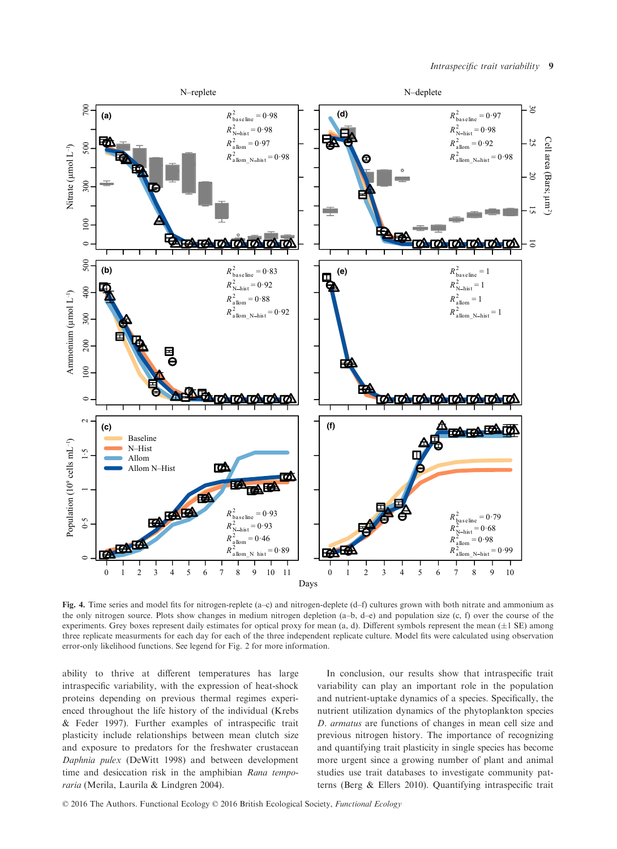

Fig. 4. Time series and model fits for nitrogen-replete (a–c) and nitrogen-deplete (d–f) cultures grown with both nitrate and ammonium as the only nitrogen source. Plots show changes in medium nitrogen depletion (a–b, d–e) and population size (c, f) over the course of the experiments. Grey boxes represent daily estimates for optical proxy for mean (a, d). Different symbols represent the mean  $(\pm 1 \text{ SE})$  among three replicate measurments for each day for each of the three independent replicate culture. Model fits were calculated using observation error-only likelihood functions. See legend for Fig. 2 for more information.

ability to thrive at different temperatures has large intraspecific variability, with the expression of heat-shock proteins depending on previous thermal regimes experienced throughout the life history of the individual (Krebs & Feder 1997). Further examples of intraspecific trait plasticity include relationships between mean clutch size and exposure to predators for the freshwater crustacean Daphnia pulex (DeWitt 1998) and between development time and desiccation risk in the amphibian Rana temporaria (Merila, Laurila & Lindgren 2004).

In conclusion, our results show that intraspecific trait variability can play an important role in the population and nutrient-uptake dynamics of a species. Specifically, the nutrient utilization dynamics of the phytoplankton species D. armatus are functions of changes in mean cell size and previous nitrogen history. The importance of recognizing and quantifying trait plasticity in single species has become more urgent since a growing number of plant and animal studies use trait databases to investigate community patterns (Berg & Ellers 2010). Quantifying intraspecific trait

© 2016 The Authors. Functional Ecology © 2016 British Ecological Society, Functional Ecology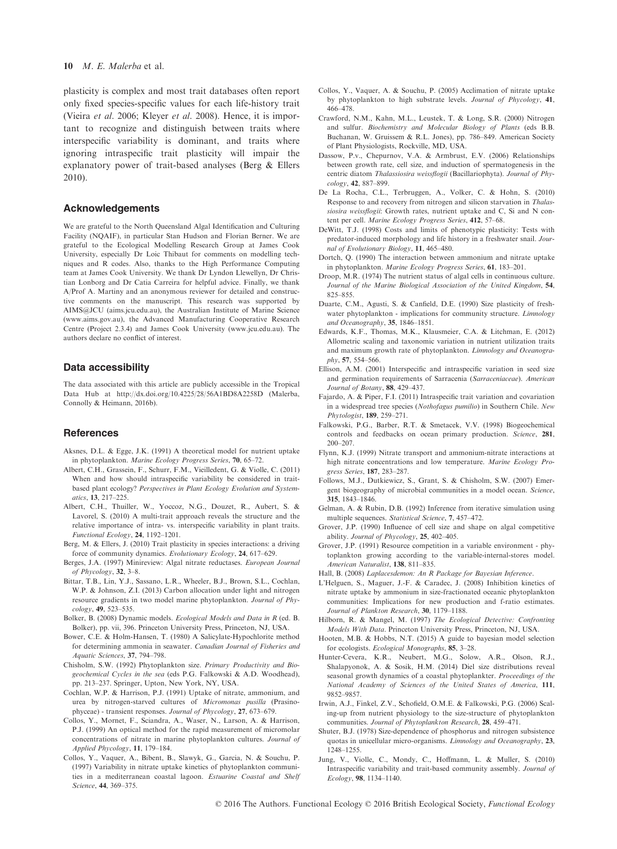#### 10  $M. E.$  Malerba et al.

plasticity is complex and most trait databases often report only fixed species-specific values for each life-history trait (Vieira et al. 2006; Kleyer et al. 2008). Hence, it is important to recognize and distinguish between traits where interspecific variability is dominant, and traits where ignoring intraspecific trait plasticity will impair the explanatory power of trait-based analyses (Berg & Ellers 2010).

#### Acknowledgements

We are grateful to the North Queensland Algal Identification and Culturing Facility (NQAIF), in particular Stan Hudson and Florian Berner. We are grateful to the Ecological Modelling Research Group at James Cook University, especially Dr Loic Thibaut for comments on modelling techniques and R codes. Also, thanks to the High Performance Computing team at James Cook University. We thank Dr Lyndon Llewellyn, Dr Christian Lonborg and Dr Catia Carreira for helpful advice. Finally, we thank A/Prof A. Martiny and an anonymous reviewer for detailed and constructive comments on the manuscript. This research was supported by AIMS@JCU (aims.jcu.edu.au), the Australian Institute of Marine Science ([www.aims.gov.au](http://www.aims.gov.au)), the Advanced Manufacturing Cooperative Research Centre (Project 2.3.4) and James Cook University ([www.jcu.edu.au](http://www.jcu.edu.au)). The authors declare no conflict of interest.

#### Data accessibility

The data associated with this article are publicly accessible in the Tropical Data Hub at<http://dx.doi.org/10.4225/28/56A1BD8A2258D> (Malerba, Connolly & Heimann, 2016b).

# **References**

- Aksnes, D.L. & Egge, J.K. (1991) A theoretical model for nutrient uptake in phytoplankton. Marine Ecology Progress Series, 70, 65–72.
- Albert, C.H., Grassein, F., Schurr, F.M., Vieilledent, G. & Violle, C. (2011) When and how should intraspecific variability be considered in traitbased plant ecology? Perspectives in Plant Ecology Evolution and Systematics, 13, 217–225.
- Albert, C.H., Thuiller, W., Yoccoz, N.G., Douzet, R., Aubert, S. & Lavorel, S. (2010) A multi-trait approach reveals the structure and the relative importance of intra- vs. interspecific variability in plant traits. Functional Ecology, 24, 1192–1201.
- Berg, M. & Ellers, J. (2010) Trait plasticity in species interactions: a driving force of community dynamics. Evolutionary Ecology, 24, 617–629.
- Berges, J.A. (1997) Minireview: Algal nitrate reductases. European Journal of Phycology, 32, 3–8.
- Bittar, T.B., Lin, Y.J., Sassano, L.R., Wheeler, B.J., Brown, S.L., Cochlan, W.P. & Johnson, Z.I. (2013) Carbon allocation under light and nitrogen resource gradients in two model marine phytoplankton. Journal of Phycology, 49, 523–535.
- Bolker, B. (2008) Dynamic models. Ecological Models and Data in R (ed. B. Bolker), pp. vii, 396. Princeton University Press, Princeton, NJ, USA.
- Bower, C.E. & Holm-Hansen, T. (1980) A Salicylate-Hypochlorite method for determining ammonia in seawater. Canadian Journal of Fisheries and Aquatic Sciences, 37, 794–798.
- Chisholm, S.W. (1992) Phytoplankton size. Primary Productivity and Biogeochemical Cycles in the sea (eds P.G. Falkowski & A.D. Woodhead), pp. 213–237. Springer, Upton, New York, NY, USA.
- Cochlan, W.P. & Harrison, P.J. (1991) Uptake of nitrate, ammonium, and urea by nitrogen-starved cultures of Micromonas pusilla (Prasinophyceae) - transient responses. Journal of Phycology, 27, 673–679.
- Collos, Y., Mornet, F., Sciandra, A., Waser, N., Larson, A. & Harrison, P.J. (1999) An optical method for the rapid measurement of micromolar concentrations of nitrate in marine phytoplankton cultures. Journal of Applied Phycology, 11, 179–184.
- Collos, Y., Vaquer, A., Bibent, B., Slawyk, G., Garcia, N. & Souchu, P. (1997) Variability in nitrate uptake kinetics of phytoplankton communities in a mediterranean coastal lagoon. Estuarine Coastal and Shelf Science, 44, 369–375.
- Collos, Y., Vaquer, A. & Souchu, P. (2005) Acclimation of nitrate uptake by phytoplankton to high substrate levels. Journal of Phycology, 41, 466–478.
- Crawford, N.M., Kahn, M.L., Leustek, T. & Long, S.R. (2000) Nitrogen and sulfur. Biochemistry and Molecular Biology of Plants (eds B.B. Buchanan, W. Gruissem & R.L. Jones), pp. 786–849. American Society of Plant Physiologists, Rockville, MD, USA.
- Dassow, P.v., Chepurnov, V.A. & Armbrust, E.V. (2006) Relationships between growth rate, cell size, and induction of spermatogenesis in the centric diatom Thalassiosira weissflogii (Bacillariophyta). Journal of Phycology, 42, 887–899.
- De La Rocha, C.L., Terbruggen, A., Volker, C. & Hohn, S. (2010) Response to and recovery from nitrogen and silicon starvation in Thalassiosira weissflogii: Growth rates, nutrient uptake and C, Si and N content per cell. Marine Ecology Progress Series, 412, 57–68.
- DeWitt, T.J. (1998) Costs and limits of phenotypic plasticity: Tests with predator-induced morphology and life history in a freshwater snail. Journal of Evolutionary Biology, 11, 465–480.
- Dortch, Q. (1990) The interaction between ammonium and nitrate uptake in phytoplankton. Marine Ecology Progress Series, 61, 183–201.
- Droop, M.R. (1974) The nutrient status of algal cells in continuous culture. Journal of the Marine Biological Association of the United Kingdom, 54, 825–855.
- Duarte, C.M., Agusti, S. & Canfield, D.E. (1990) Size plasticity of freshwater phytoplankton - implications for community structure. Limnology and Oceanography, 35, 1846–1851.
- Edwards, K.F., Thomas, M.K., Klausmeier, C.A. & Litchman, E. (2012) Allometric scaling and taxonomic variation in nutrient utilization traits and maximum growth rate of phytoplankton. Limnology and Oceanography, 57, 554–566.
- Ellison, A.M. (2001) Interspecific and intraspecific variation in seed size and germination requirements of Sarracenia (Sarraceniaceae). American Journal of Botany, 88, 429–437.
- Fajardo, A. & Piper, F.I. (2011) Intraspecific trait variation and covariation in a widespread tree species (Nothofagus pumilio) in Southern Chile. New Phytologist, 189, 259–271.
- Falkowski, P.G., Barber, R.T. & Smetacek, V.V. (1998) Biogeochemical controls and feedbacks on ocean primary production. Science, 281, 200–207.
- Flynn, K.J. (1999) Nitrate transport and ammonium-nitrate interactions at high nitrate concentrations and low temperature. Marine Ecology Progress Series, 187, 283–287.
- Follows, M.J., Dutkiewicz, S., Grant, S. & Chisholm, S.W. (2007) Emergent biogeography of microbial communities in a model ocean. Science, 315, 1843–1846.
- Gelman, A. & Rubin, D.B. (1992) Inference from iterative simulation using multiple sequences. Statistical Science, 7, 457–472.
- Grover, J.P. (1990) Influence of cell size and shape on algal competitive ability. Journal of Phycology, 25, 402–405.
- Grover, J.P. (1991) Resource competition in a variable environment phytoplankton growing according to the variable-internal-stores model. American Naturalist, 138, 811–835.
- Hall, B. (2008) Laplacesdemon: An R Package for Bayesian Inference.
- L'Helguen, S., Maguer, J.-F. & Caradec, J. (2008) Inhibition kinetics of nitrate uptake by ammonium in size-fractionated oceanic phytoplankton communities: Implications for new production and f-ratio estimates. Journal of Plankton Research, 30, 1179–1188.
- Hilborn, R. & Mangel, M. (1997) The Ecological Detective: Confronting Models With Data. Princeton University Press, Princeton, NJ, USA.
- Hooten, M.B. & Hobbs, N.T. (2015) A guide to bayesian model selection for ecologists. Ecological Monographs, 85, 3–28.
- Hunter-Cevera, K.R., Neubert, M.G., Solow, A.R., Olson, R.J., Shalapyonok, A. & Sosik, H.M. (2014) Diel size distributions reveal seasonal growth dynamics of a coastal phytoplankter. Proceedings of the National Academy of Sciences of the United States of America, 111, 9852–9857.
- Irwin, A.J., Finkel, Z.V., Schofield, O.M.E. & Falkowski, P.G. (2006) Scaling-up from nutrient physiology to the size-structure of phytoplankton communities. Journal of Phytoplankton Research, 28, 459–471.
- Shuter, B.J. (1978) Size-dependence of phosphorus and nitrogen subsistence quotas in unicellular micro-organisms. Limnology and Oceanography, 23, 1248–1255.
- Jung, V., Violle, C., Mondy, C., Hoffmann, L. & Muller, S. (2010) Intraspecific variability and trait-based community assembly. Journal of Ecology, 98, 1134–1140.